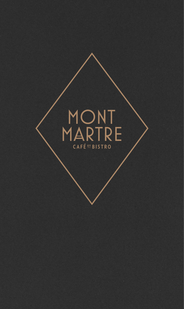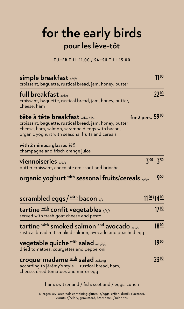## **for the early birds pour les lève-tôt**

**TU—FR TILL 11.00 / SA—SU TILL 15.00**

| simple breakfast a/d/e<br>croissant, baquette, rustical bread, jam, honey, butter                                                                                                                                                                   | 1100                         |
|-----------------------------------------------------------------------------------------------------------------------------------------------------------------------------------------------------------------------------------------------------|------------------------------|
| full breakfast a/d/e<br>croissant, baguette, rustical bread, jam, honey, butter,<br>cheese, ham                                                                                                                                                     | $22^{\underline{00}}$        |
| <b>tête à tête breakfast a/b/c/d/e</b><br>croissant, baguette, rustical bread, jam, honey, butter<br>cheese, ham, salmon, scrambeld eggs with bacon,<br>organic yoghurt with seasonal fruits and cereals<br>with 2 mimosa glasses $76^{\circ\circ}$ | for 2 pers. $59\frac{00}{5}$ |
| champagne and frisch orange juice                                                                                                                                                                                                                   |                              |
| <b>Viennoiseries</b> a/d/e<br>butter croissant, chocolate croissant and brioche                                                                                                                                                                     | $300 - 350$                  |
| <b>organic yoghurt with seasonal fruits/cereals</b> a/d/e                                                                                                                                                                                           | 9 <sup>50</sup>              |
| <b>scrambled eggs / <u>with</u> bacon</b> b/d                                                                                                                                                                                                       | $11\frac{50}{14}$ $00$       |
| tartine with confit vegetables a/d/e<br>served with fresh goat cheese and pesto                                                                                                                                                                     | 17 <sup>00</sup>             |
| tartine with smoked salmon and avocado a/b/c<br>rustical bread mit smoked salmon, avocado and poached egg                                                                                                                                           | $18^{00}$                    |
| <b>vegetable quiche with salad a/b/d/g</b><br>dried tomatoes, courgettes and pepperoni                                                                                                                                                              | 1900                         |
| <b>croque-madame</b> with salad a/d/e/g<br>according to jérémy's style - rustical bread, ham,<br>cheese, dried tomatoes and mirror egg                                                                                                              | 2300                         |

ham: switzerland / fish: scotland / eggs: zurich

allergen key: a/cereals containing gluten, b/eggs, c/fish, d/milk (lactose), e/nuts, f/celery, g/mustard, h/sesame, i/sulphites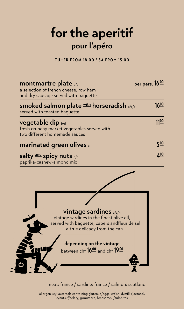# **for the aperitif pour l'apéro**

**TU—FR FROM 18.00 / SA FROM 15.00**

| <b>montmartre plate</b> d/e<br>a selection of french cheese, row ham<br>and dry sausage served with baguette                                                                                                                          | per pers. 16 00 |
|---------------------------------------------------------------------------------------------------------------------------------------------------------------------------------------------------------------------------------------|-----------------|
| <b>smoked salmon plate with horseradish a/c/d</b><br>served with toasted baquette                                                                                                                                                     | $16^{00}$       |
| <b>vegetable dip</b> b/d<br>fresh crunchy market vegetables served with<br>two different homemade sauces                                                                                                                              | 1100            |
| <b>marinated green olives</b> e                                                                                                                                                                                                       | 5 <sup>00</sup> |
| salty and spicy nuts b/e<br>paprika-cashew-almond mix                                                                                                                                                                                 | 4 <sup>00</sup> |
| <b>vintage sardines</b> a/c/h<br>vintage sardines in the finest olive oil,<br>served with baquette, capers andfleur dessel<br>- a true delicacy from the can<br>depending on the vintage<br>between chf 16 <sup>00</sup> and chf 1900 |                 |

#### meat: france / sardine: france / salmon: scotland

allergen key: a/cereals containing gluten, b/eggs, c/fish, d/milk (lactose), e/nuts, f/celery, g/mustard, h/sesame, i/sulphites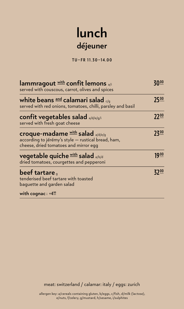## **lunch déjeuner**

**TU—FR 11.30—14.00**

| lammragout with confit lemons a/i<br>served with couscous, carrot, olives and spices                                                   |                       |
|----------------------------------------------------------------------------------------------------------------------------------------|-----------------------|
| white beans $^{\text{and}}$ calamari salad $_{\leq q}$<br>served with red onions, tomatoes, chilli, parsley and basil                  | 7500                  |
| confit vegetables salad $a/d/e/g/i$<br>served with fresh goat cheese                                                                   | $22^{\underline{00}}$ |
| <b>croque-madame</b> with salad a/d/e/g<br>according to jérémy's style - rustical bread, ham,<br>cheese, dried tomatoes and mirror egg | 23 <u>w</u>           |
| <b>vegetable quiche</b> with salad a/b/d<br>dried tomatoes, courgettes and pepperoni                                                   | <u> 19 00</u>         |
| <b>beef tartare</b><br>tenderised beef tartare with toasted<br>baquette and garden salad                                               | 700                   |
| with cognac $i + 400$                                                                                                                  |                       |

meat: switzerland / calamar: italy / eggs: zurich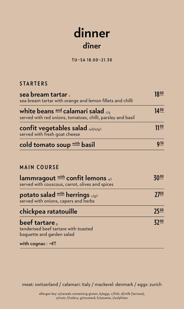### **dinner dîner**

**TU—SA 18.00—21.30**

#### **STARTERS**

| sea bream tartar .<br>sea bream tartar with orange and lemon fillets and chilli                                                | $18^{\underline{00}}$  |
|--------------------------------------------------------------------------------------------------------------------------------|------------------------|
| white beans $^{\text{and}}$ calamari salad $_{\leq \mathsf{q}}$<br>served with red onions, tomatoes, chilli, parsley and basil | $14^{00}$              |
| <b>confit vegetables salad</b> a/d/e/g/i<br>served with fresh goat cheese                                                      | $11^{00}$              |
| cold tomato soup with basil                                                                                                    | $9^{\underline{50}}$   |
| <b>MAIN COURSE</b>                                                                                                             |                        |
| lammragout with confit lemons a/i<br>served with couscous, carrot, olives and spices                                           | <u>30<sup>00</sup></u> |
| <b>potato salad with herrings</b> c/g/i<br>served with onions, capers and herbs                                                | $27^{\underline{00}}$  |
| chickpea ratatouille                                                                                                           | $25^{00}$              |
| <b>beef tartare</b> ,<br>tenderised beef tartare with toasted<br>baguette and garden salad                                     | 32 <sup>00</sup>       |
| with cognac $i + 4^{\circ\circ}$                                                                                               |                        |

meat: switzerland / calamari: italy / mackerel: denmark / eggs: zurich

allergen key: a/cereals containing gluten, b/eggs, c/fish, d/milk (lactose), e/nuts, f/celery, g/mustard, h/sesame, i/sulphites